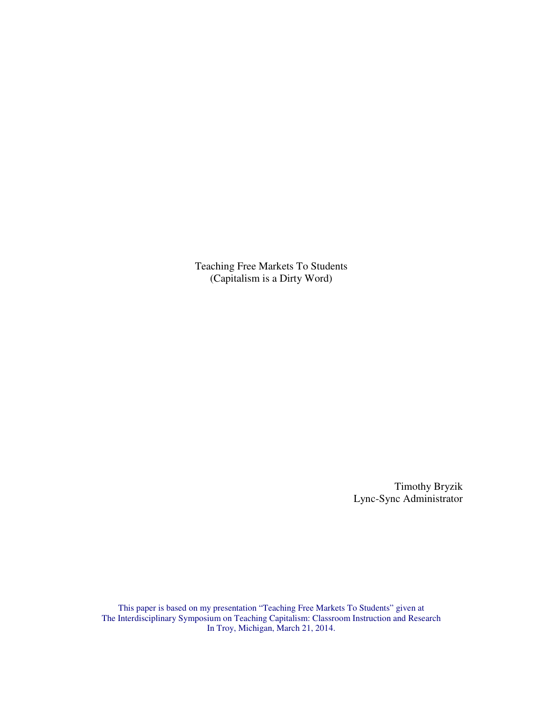Teaching Free Markets To Students (Capitalism is a Dirty Word)

> Timothy Bryzik Lync-Sync Administrator

This paper is based on my presentation "Teaching Free Markets To Students" given at The Interdisciplinary Symposium on Teaching Capitalism: Classroom Instruction and Research In Troy, Michigan, March 21, 2014.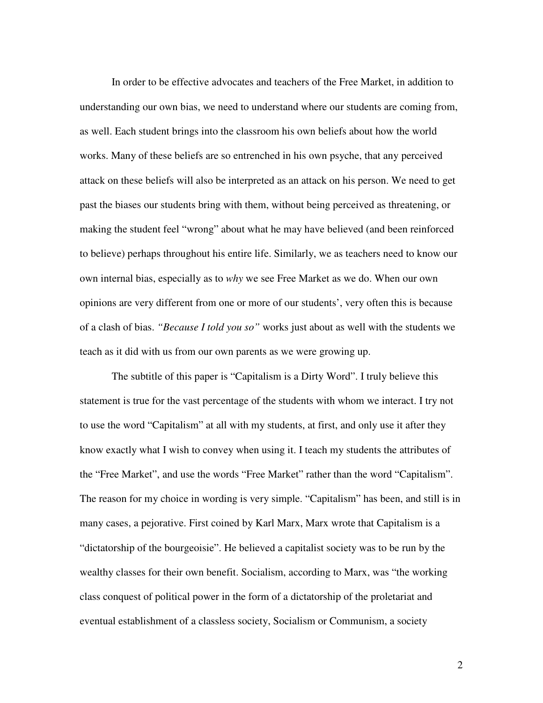In order to be effective advocates and teachers of the Free Market, in addition to understanding our own bias, we need to understand where our students are coming from, as well. Each student brings into the classroom his own beliefs about how the world works. Many of these beliefs are so entrenched in his own psyche, that any perceived attack on these beliefs will also be interpreted as an attack on his person. We need to get past the biases our students bring with them, without being perceived as threatening, or making the student feel "wrong" about what he may have believed (and been reinforced to believe) perhaps throughout his entire life. Similarly, we as teachers need to know our own internal bias, especially as to *why* we see Free Market as we do. When our own opinions are very different from one or more of our students', very often this is because of a clash of bias. *"Because I told you so"* works just about as well with the students we teach as it did with us from our own parents as we were growing up.

 The subtitle of this paper is "Capitalism is a Dirty Word". I truly believe this statement is true for the vast percentage of the students with whom we interact. I try not to use the word "Capitalism" at all with my students, at first, and only use it after they know exactly what I wish to convey when using it. I teach my students the attributes of the "Free Market", and use the words "Free Market" rather than the word "Capitalism". The reason for my choice in wording is very simple. "Capitalism" has been, and still is in many cases, a pejorative. First coined by Karl Marx, Marx wrote that Capitalism is a "dictatorship of the bourgeoisie". He believed a capitalist society was to be run by the wealthy classes for their own benefit. Socialism, according to Marx, was "the working class conquest of political power in the form of a dictatorship of the proletariat and eventual establishment of a classless society, Socialism or Communism, a society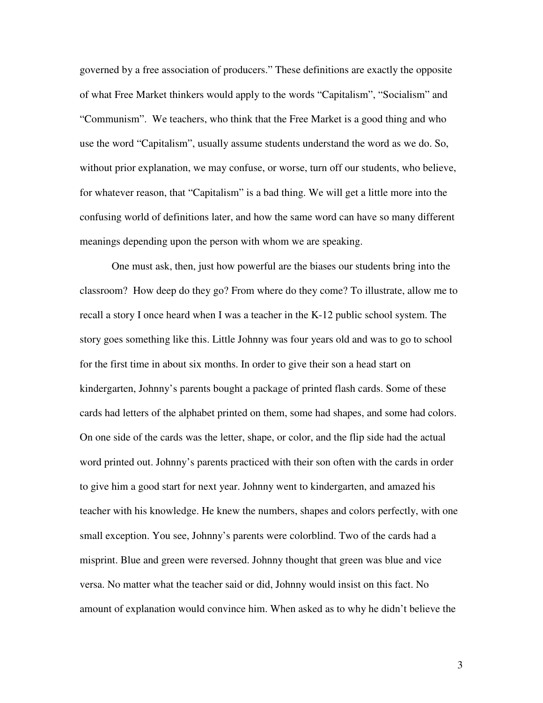governed by a free association of producers." These definitions are exactly the opposite of what Free Market thinkers would apply to the words "Capitalism", "Socialism" and "Communism". We teachers, who think that the Free Market is a good thing and who use the word "Capitalism", usually assume students understand the word as we do. So, without prior explanation, we may confuse, or worse, turn off our students, who believe, for whatever reason, that "Capitalism" is a bad thing. We will get a little more into the confusing world of definitions later, and how the same word can have so many different meanings depending upon the person with whom we are speaking.

 One must ask, then, just how powerful are the biases our students bring into the classroom? How deep do they go? From where do they come? To illustrate, allow me to recall a story I once heard when I was a teacher in the K-12 public school system. The story goes something like this. Little Johnny was four years old and was to go to school for the first time in about six months. In order to give their son a head start on kindergarten, Johnny's parents bought a package of printed flash cards. Some of these cards had letters of the alphabet printed on them, some had shapes, and some had colors. On one side of the cards was the letter, shape, or color, and the flip side had the actual word printed out. Johnny's parents practiced with their son often with the cards in order to give him a good start for next year. Johnny went to kindergarten, and amazed his teacher with his knowledge. He knew the numbers, shapes and colors perfectly, with one small exception. You see, Johnny's parents were colorblind. Two of the cards had a misprint. Blue and green were reversed. Johnny thought that green was blue and vice versa. No matter what the teacher said or did, Johnny would insist on this fact. No amount of explanation would convince him. When asked as to why he didn't believe the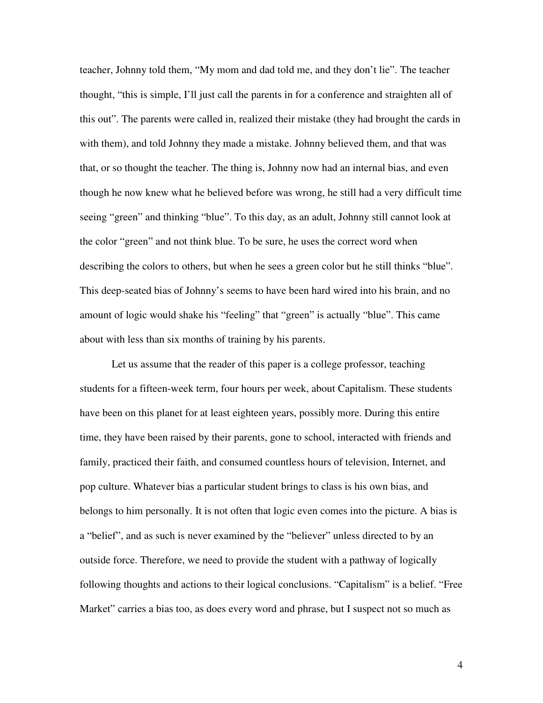teacher, Johnny told them, "My mom and dad told me, and they don't lie". The teacher thought, "this is simple, I'll just call the parents in for a conference and straighten all of this out". The parents were called in, realized their mistake (they had brought the cards in with them), and told Johnny they made a mistake. Johnny believed them, and that was that, or so thought the teacher. The thing is, Johnny now had an internal bias, and even though he now knew what he believed before was wrong, he still had a very difficult time seeing "green" and thinking "blue". To this day, as an adult, Johnny still cannot look at the color "green" and not think blue. To be sure, he uses the correct word when describing the colors to others, but when he sees a green color but he still thinks "blue". This deep-seated bias of Johnny's seems to have been hard wired into his brain, and no amount of logic would shake his "feeling" that "green" is actually "blue". This came about with less than six months of training by his parents.

Let us assume that the reader of this paper is a college professor, teaching students for a fifteen-week term, four hours per week, about Capitalism. These students have been on this planet for at least eighteen years, possibly more. During this entire time, they have been raised by their parents, gone to school, interacted with friends and family, practiced their faith, and consumed countless hours of television, Internet, and pop culture. Whatever bias a particular student brings to class is his own bias, and belongs to him personally. It is not often that logic even comes into the picture. A bias is a "belief", and as such is never examined by the "believer" unless directed to by an outside force. Therefore, we need to provide the student with a pathway of logically following thoughts and actions to their logical conclusions. "Capitalism" is a belief. "Free Market" carries a bias too, as does every word and phrase, but I suspect not so much as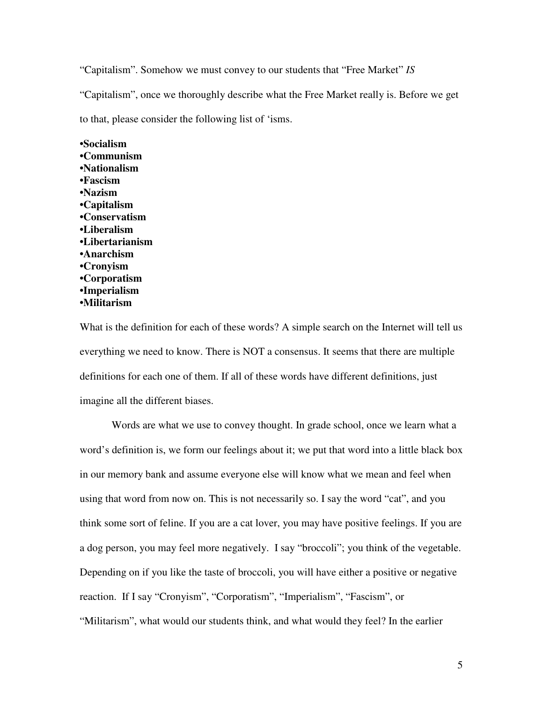"Capitalism". Somehow we must convey to our students that "Free Market" *IS*

"Capitalism", once we thoroughly describe what the Free Market really is. Before we get

to that, please consider the following list of 'isms.

**•Socialism •Communism •Nationalism •Fascism •Nazism •Capitalism •Conservatism •Liberalism •Libertarianism •Anarchism •Cronyism •Corporatism •Imperialism •Militarism** 

What is the definition for each of these words? A simple search on the Internet will tell us everything we need to know. There is NOT a consensus. It seems that there are multiple definitions for each one of them. If all of these words have different definitions, just imagine all the different biases.

 Words are what we use to convey thought. In grade school, once we learn what a word's definition is, we form our feelings about it; we put that word into a little black box in our memory bank and assume everyone else will know what we mean and feel when using that word from now on. This is not necessarily so. I say the word "cat", and you think some sort of feline. If you are a cat lover, you may have positive feelings. If you are a dog person, you may feel more negatively. I say "broccoli"; you think of the vegetable. Depending on if you like the taste of broccoli, you will have either a positive or negative reaction. If I say "Cronyism", "Corporatism", "Imperialism", "Fascism", or "Militarism", what would our students think, and what would they feel? In the earlier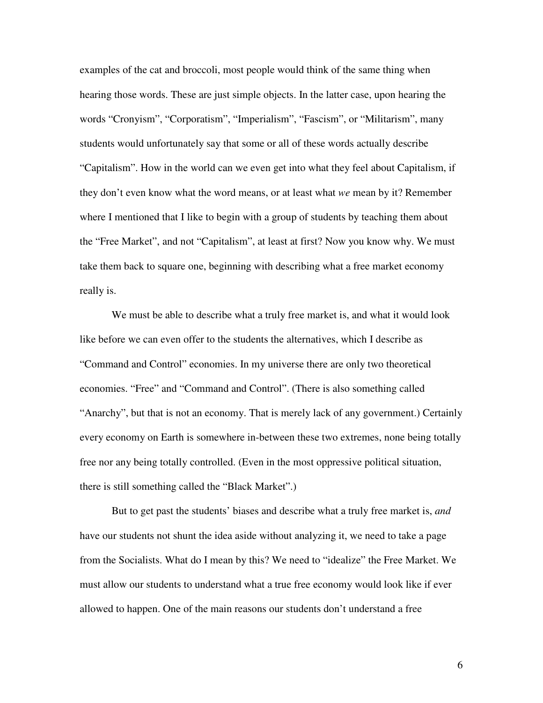examples of the cat and broccoli, most people would think of the same thing when hearing those words. These are just simple objects. In the latter case, upon hearing the words "Cronyism", "Corporatism", "Imperialism", "Fascism", or "Militarism", many students would unfortunately say that some or all of these words actually describe "Capitalism". How in the world can we even get into what they feel about Capitalism, if they don't even know what the word means, or at least what *we* mean by it? Remember where I mentioned that I like to begin with a group of students by teaching them about the "Free Market", and not "Capitalism", at least at first? Now you know why. We must take them back to square one, beginning with describing what a free market economy really is.

 We must be able to describe what a truly free market is, and what it would look like before we can even offer to the students the alternatives, which I describe as "Command and Control" economies. In my universe there are only two theoretical economies. "Free" and "Command and Control". (There is also something called "Anarchy", but that is not an economy. That is merely lack of any government.) Certainly every economy on Earth is somewhere in-between these two extremes, none being totally free nor any being totally controlled. (Even in the most oppressive political situation, there is still something called the "Black Market".)

 But to get past the students' biases and describe what a truly free market is, *and* have our students not shunt the idea aside without analyzing it, we need to take a page from the Socialists. What do I mean by this? We need to "idealize" the Free Market. We must allow our students to understand what a true free economy would look like if ever allowed to happen. One of the main reasons our students don't understand a free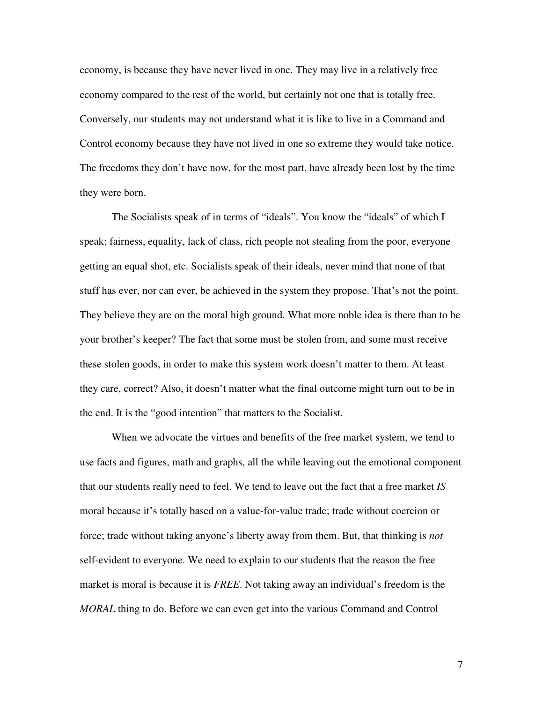economy, is because they have never lived in one. They may live in a relatively free economy compared to the rest of the world, but certainly not one that is totally free. Conversely, our students may not understand what it is like to live in a Command and Control economy because they have not lived in one so extreme they would take notice. The freedoms they don't have now, for the most part, have already been lost by the time they were born.

The Socialists speak of in terms of "ideals". You know the "ideals" of which I speak; fairness, equality, lack of class, rich people not stealing from the poor, everyone getting an equal shot, etc. Socialists speak of their ideals, never mind that none of that stuff has ever, nor can ever, be achieved in the system they propose. That's not the point. They believe they are on the moral high ground. What more noble idea is there than to be your brother's keeper? The fact that some must be stolen from, and some must receive these stolen goods, in order to make this system work doesn't matter to them. At least they care, correct? Also, it doesn't matter what the final outcome might turn out to be in the end. It is the "good intention" that matters to the Socialist.

 When we advocate the virtues and benefits of the free market system, we tend to use facts and figures, math and graphs, all the while leaving out the emotional component that our students really need to feel. We tend to leave out the fact that a free market *IS* moral because it's totally based on a value-for-value trade; trade without coercion or force; trade without taking anyone's liberty away from them. But, that thinking is *not*  self-evident to everyone. We need to explain to our students that the reason the free market is moral is because it is *FREE*. Not taking away an individual's freedom is the *MORAL* thing to do. Before we can even get into the various Command and Control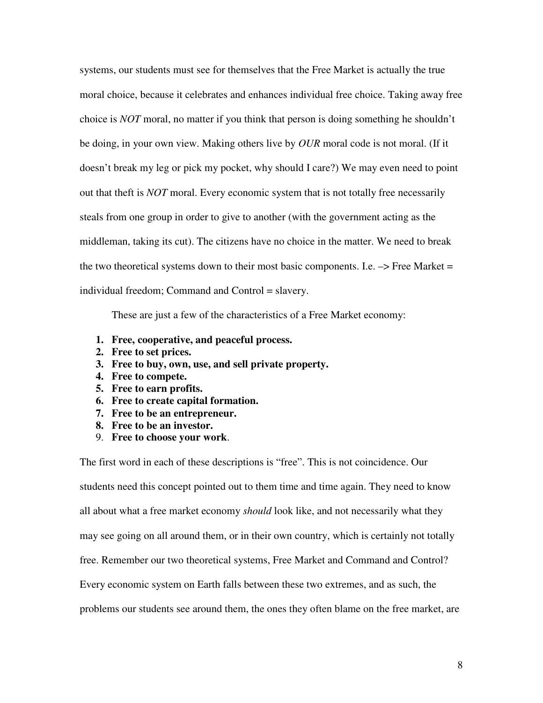systems, our students must see for themselves that the Free Market is actually the true moral choice, because it celebrates and enhances individual free choice. Taking away free choice is *NOT* moral, no matter if you think that person is doing something he shouldn't be doing, in your own view. Making others live by *OUR* moral code is not moral. (If it doesn't break my leg or pick my pocket, why should I care?) We may even need to point out that theft is *NOT* moral. Every economic system that is not totally free necessarily steals from one group in order to give to another (with the government acting as the middleman, taking its cut). The citizens have no choice in the matter. We need to break the two theoretical systems down to their most basic components. I.e.  $\rightarrow$  Free Market = individual freedom; Command and Control = slavery.

These are just a few of the characteristics of a Free Market economy:

- **1. Free, cooperative, and peaceful process.**
- **2. Free to set prices.**
- **3. Free to buy, own, use, and sell private property.**
- **4. Free to compete.**
- **5. Free to earn profits.**
- **6. Free to create capital formation.**
- **7. Free to be an entrepreneur.**
- **8. Free to be an investor.**
- 9. **Free to choose your work**.

The first word in each of these descriptions is "free". This is not coincidence. Our students need this concept pointed out to them time and time again. They need to know all about what a free market economy *should* look like, and not necessarily what they may see going on all around them, or in their own country, which is certainly not totally free. Remember our two theoretical systems, Free Market and Command and Control? Every economic system on Earth falls between these two extremes, and as such, the problems our students see around them, the ones they often blame on the free market, are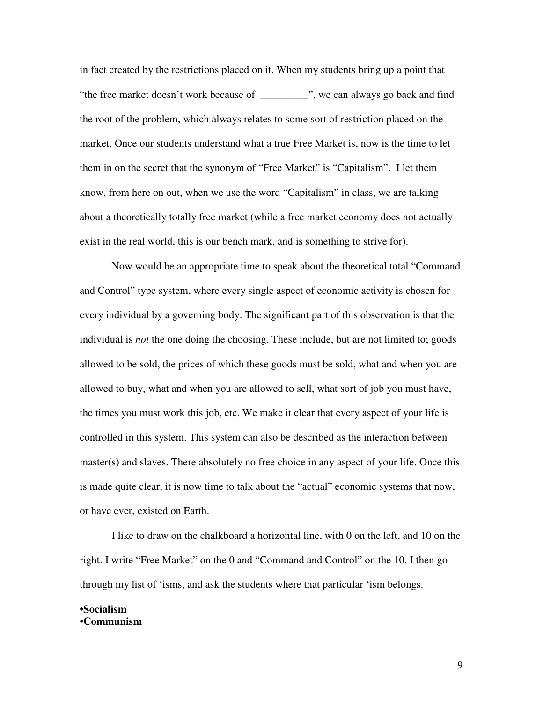in fact created by the restrictions placed on it. When my students bring up a point that "the free market doesn't work because of \_\_\_\_\_\_\_\_\_", we can always go back and find the root of the problem, which always relates to some sort of restriction placed on the market. Once our students understand what a true Free Market is, now is the time to let them in on the secret that the synonym of "Free Market" is "Capitalism". I let them know, from here on out, when we use the word "Capitalism" in class, we are talking about a theoretically totally free market (while a free market economy does not actually exist in the real world, this is our bench mark, and is something to strive for).

 Now would be an appropriate time to speak about the theoretical total "Command and Control" type system, where every single aspect of economic activity is chosen for every individual by a governing body. The significant part of this observation is that the individual is *not* the one doing the choosing. These include, but are not limited to; goods allowed to be sold, the prices of which these goods must be sold, what and when you are allowed to buy, what and when you are allowed to sell, what sort of job you must have, the times you must work this job, etc. We make it clear that every aspect of your life is controlled in this system. This system can also be described as the interaction between master(s) and slaves. There absolutely no free choice in any aspect of your life. Once this is made quite clear, it is now time to talk about the "actual" economic systems that now, or have ever, existed on Earth.

 I like to draw on the chalkboard a horizontal line, with 0 on the left, and 10 on the right. I write "Free Market" on the 0 and "Command and Control" on the 10. I then go through my list of 'isms, and ask the students where that particular 'ism belongs.

## **•Socialism •Communism**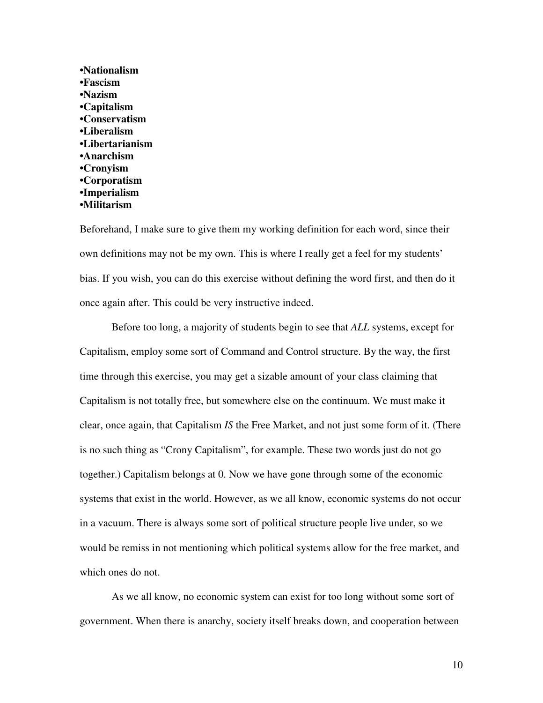**•Nationalism •Fascism •Nazism •Capitalism •Conservatism •Liberalism •Libertarianism •Anarchism •Cronyism •Corporatism •Imperialism •Militarism**

Beforehand, I make sure to give them my working definition for each word, since their own definitions may not be my own. This is where I really get a feel for my students' bias. If you wish, you can do this exercise without defining the word first, and then do it once again after. This could be very instructive indeed.

 Before too long, a majority of students begin to see that *ALL* systems, except for Capitalism, employ some sort of Command and Control structure. By the way, the first time through this exercise, you may get a sizable amount of your class claiming that Capitalism is not totally free, but somewhere else on the continuum. We must make it clear, once again, that Capitalism *IS* the Free Market, and not just some form of it. (There is no such thing as "Crony Capitalism", for example. These two words just do not go together.) Capitalism belongs at 0. Now we have gone through some of the economic systems that exist in the world. However, as we all know, economic systems do not occur in a vacuum. There is always some sort of political structure people live under, so we would be remiss in not mentioning which political systems allow for the free market, and which ones do not.

 As we all know, no economic system can exist for too long without some sort of government. When there is anarchy, society itself breaks down, and cooperation between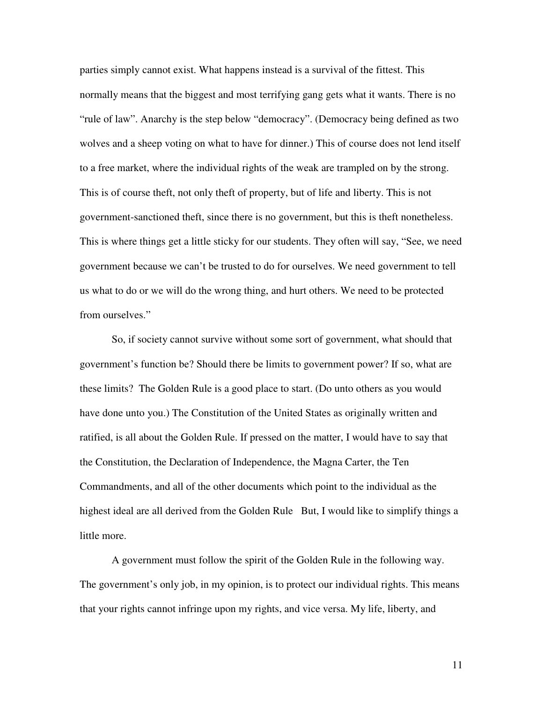parties simply cannot exist. What happens instead is a survival of the fittest. This normally means that the biggest and most terrifying gang gets what it wants. There is no "rule of law". Anarchy is the step below "democracy". (Democracy being defined as two wolves and a sheep voting on what to have for dinner.) This of course does not lend itself to a free market, where the individual rights of the weak are trampled on by the strong. This is of course theft, not only theft of property, but of life and liberty. This is not government-sanctioned theft, since there is no government, but this is theft nonetheless. This is where things get a little sticky for our students. They often will say, "See, we need government because we can't be trusted to do for ourselves. We need government to tell us what to do or we will do the wrong thing, and hurt others. We need to be protected from ourselves."

 So, if society cannot survive without some sort of government, what should that government's function be? Should there be limits to government power? If so, what are these limits? The Golden Rule is a good place to start. (Do unto others as you would have done unto you.) The Constitution of the United States as originally written and ratified, is all about the Golden Rule. If pressed on the matter, I would have to say that the Constitution, the Declaration of Independence, the Magna Carter, the Ten Commandments, and all of the other documents which point to the individual as the highest ideal are all derived from the Golden Rule But, I would like to simplify things a little more.

A government must follow the spirit of the Golden Rule in the following way. The government's only job, in my opinion, is to protect our individual rights. This means that your rights cannot infringe upon my rights, and vice versa. My life, liberty, and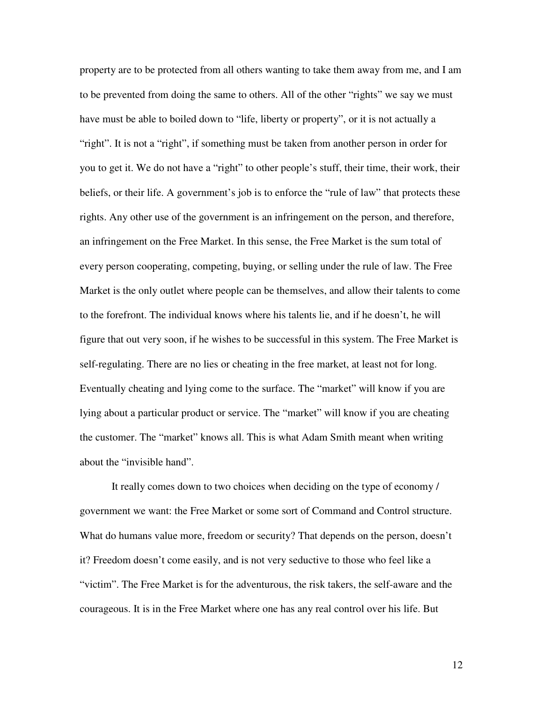property are to be protected from all others wanting to take them away from me, and I am to be prevented from doing the same to others. All of the other "rights" we say we must have must be able to boiled down to "life, liberty or property", or it is not actually a "right". It is not a "right", if something must be taken from another person in order for you to get it. We do not have a "right" to other people's stuff, their time, their work, their beliefs, or their life. A government's job is to enforce the "rule of law" that protects these rights. Any other use of the government is an infringement on the person, and therefore, an infringement on the Free Market. In this sense, the Free Market is the sum total of every person cooperating, competing, buying, or selling under the rule of law. The Free Market is the only outlet where people can be themselves, and allow their talents to come to the forefront. The individual knows where his talents lie, and if he doesn't, he will figure that out very soon, if he wishes to be successful in this system. The Free Market is self-regulating. There are no lies or cheating in the free market, at least not for long. Eventually cheating and lying come to the surface. The "market" will know if you are lying about a particular product or service. The "market" will know if you are cheating the customer. The "market" knows all. This is what Adam Smith meant when writing about the "invisible hand".

 It really comes down to two choices when deciding on the type of economy / government we want: the Free Market or some sort of Command and Control structure. What do humans value more, freedom or security? That depends on the person, doesn't it? Freedom doesn't come easily, and is not very seductive to those who feel like a "victim". The Free Market is for the adventurous, the risk takers, the self-aware and the courageous. It is in the Free Market where one has any real control over his life. But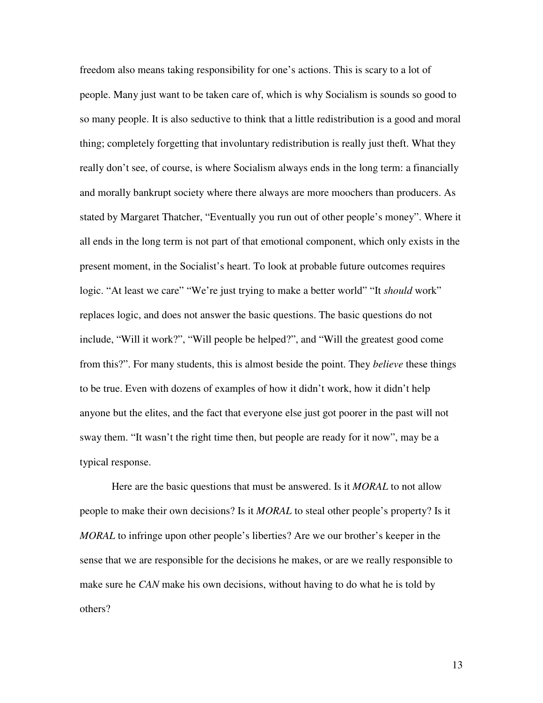freedom also means taking responsibility for one's actions. This is scary to a lot of people. Many just want to be taken care of, which is why Socialism is sounds so good to so many people. It is also seductive to think that a little redistribution is a good and moral thing; completely forgetting that involuntary redistribution is really just theft. What they really don't see, of course, is where Socialism always ends in the long term: a financially and morally bankrupt society where there always are more moochers than producers. As stated by Margaret Thatcher, "Eventually you run out of other people's money". Where it all ends in the long term is not part of that emotional component, which only exists in the present moment, in the Socialist's heart. To look at probable future outcomes requires logic. "At least we care" "We're just trying to make a better world" "It *should* work" replaces logic, and does not answer the basic questions. The basic questions do not include, "Will it work?", "Will people be helped?", and "Will the greatest good come from this?". For many students, this is almost beside the point. They *believe* these things to be true. Even with dozens of examples of how it didn't work, how it didn't help anyone but the elites, and the fact that everyone else just got poorer in the past will not sway them. "It wasn't the right time then, but people are ready for it now", may be a typical response.

Here are the basic questions that must be answered. Is it *MORAL* to not allow people to make their own decisions? Is it *MORAL* to steal other people's property? Is it *MORAL* to infringe upon other people's liberties? Are we our brother's keeper in the sense that we are responsible for the decisions he makes, or are we really responsible to make sure he *CAN* make his own decisions, without having to do what he is told by others?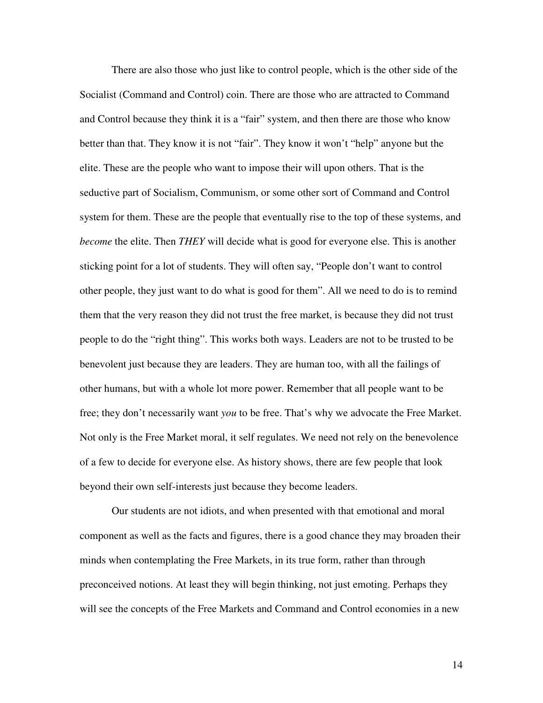There are also those who just like to control people, which is the other side of the Socialist (Command and Control) coin. There are those who are attracted to Command and Control because they think it is a "fair" system, and then there are those who know better than that. They know it is not "fair". They know it won't "help" anyone but the elite. These are the people who want to impose their will upon others. That is the seductive part of Socialism, Communism, or some other sort of Command and Control system for them. These are the people that eventually rise to the top of these systems, and *become* the elite. Then *THEY* will decide what is good for everyone else. This is another sticking point for a lot of students. They will often say, "People don't want to control other people, they just want to do what is good for them". All we need to do is to remind them that the very reason they did not trust the free market, is because they did not trust people to do the "right thing". This works both ways. Leaders are not to be trusted to be benevolent just because they are leaders. They are human too, with all the failings of other humans, but with a whole lot more power. Remember that all people want to be free; they don't necessarily want *you* to be free. That's why we advocate the Free Market. Not only is the Free Market moral, it self regulates. We need not rely on the benevolence of a few to decide for everyone else. As history shows, there are few people that look beyond their own self-interests just because they become leaders.

 Our students are not idiots, and when presented with that emotional and moral component as well as the facts and figures, there is a good chance they may broaden their minds when contemplating the Free Markets, in its true form, rather than through preconceived notions. At least they will begin thinking, not just emoting. Perhaps they will see the concepts of the Free Markets and Command and Control economies in a new